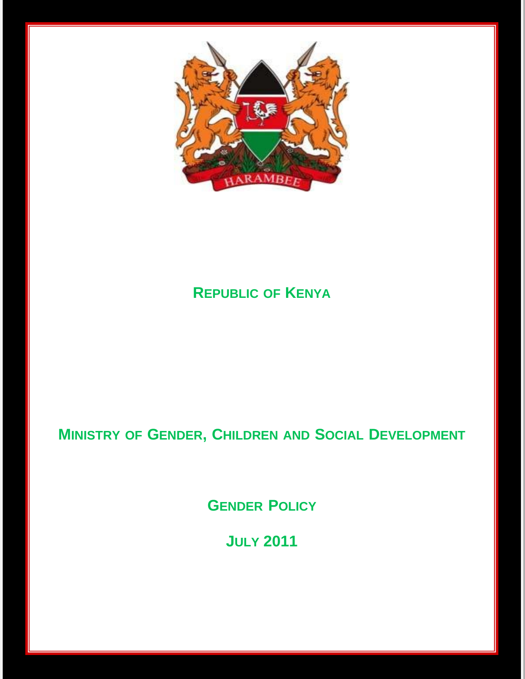

# **REPUBLIC OF KENYA**

# **MINISTRY OF GENDER, CHILDREN AND SOCIAL DEVELOPMENT**

**GENDER POLICY**

**JULY 2011**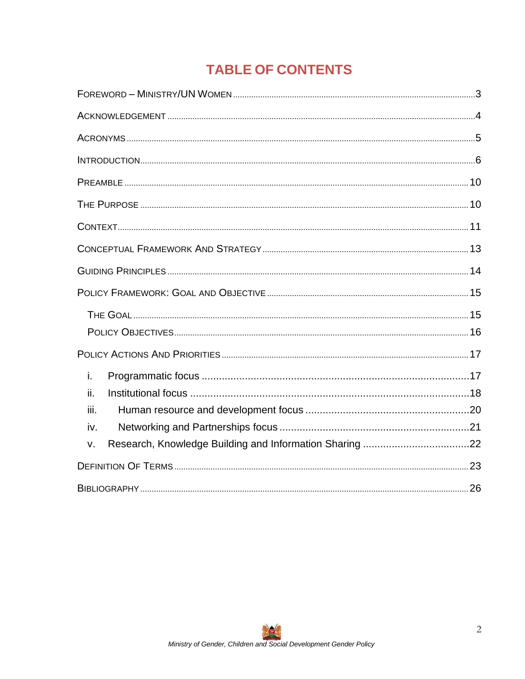# **TABLE OF CONTENTS**

| i.   |  |
|------|--|
| ii.  |  |
| iii. |  |
| iv.  |  |
| v.   |  |
|      |  |
|      |  |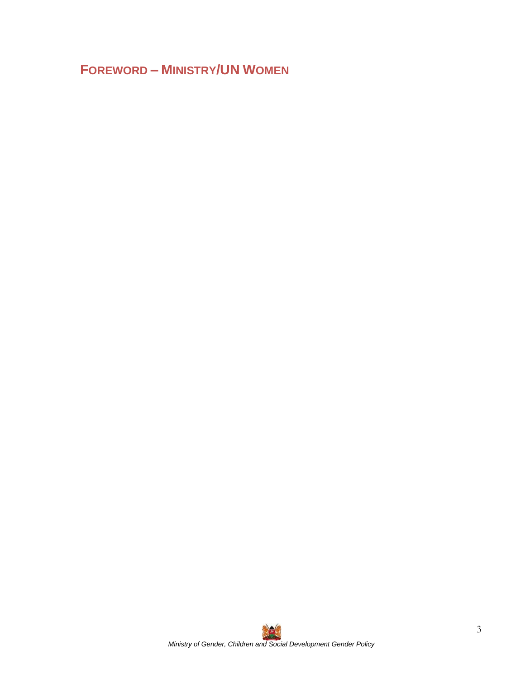# <span id="page-2-0"></span>**FOREWORD – MINISTRY/UN WOMEN**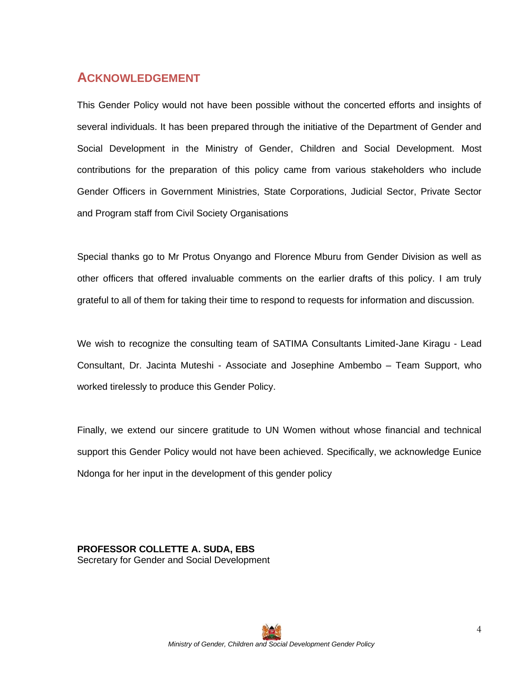### <span id="page-3-0"></span>**ACKNOWLEDGEMENT**

This Gender Policy would not have been possible without the concerted efforts and insights of several individuals. It has been prepared through the initiative of the Department of Gender and Social Development in the Ministry of Gender, Children and Social Development. Most contributions for the preparation of this policy came from various stakeholders who include Gender Officers in Government Ministries, State Corporations, Judicial Sector, Private Sector and Program staff from Civil Society Organisations

Special thanks go to Mr Protus Onyango and Florence Mburu from Gender Division as well as other officers that offered invaluable comments on the earlier drafts of this policy. I am truly grateful to all of them for taking their time to respond to requests for information and discussion.

We wish to recognize the consulting team of SATIMA Consultants Limited-Jane Kiragu - Lead Consultant, Dr. Jacinta Muteshi - Associate and Josephine Ambembo – Team Support, who worked tirelessly to produce this Gender Policy.

Finally, we extend our sincere gratitude to UN Women without whose financial and technical support this Gender Policy would not have been achieved. Specifically, we acknowledge Eunice Ndonga for her input in the development of this gender policy

**PROFESSOR COLLETTE A. SUDA, EBS** Secretary for Gender and Social Development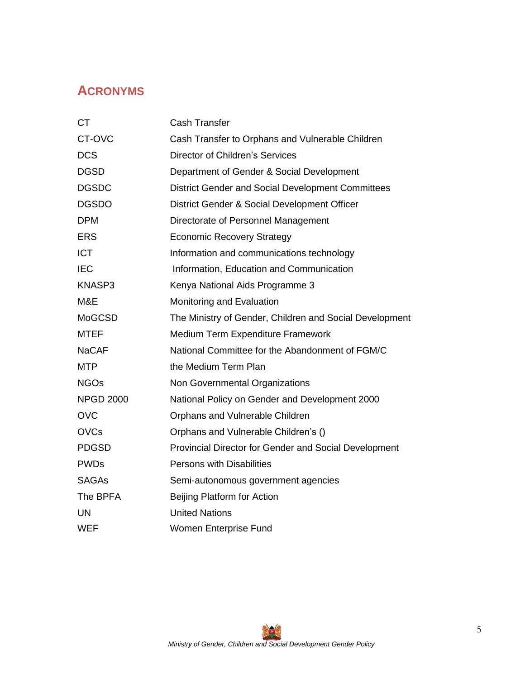## <span id="page-4-0"></span>**ACRONYMS**

| <b>CT</b>        | <b>Cash Transfer</b>                                    |
|------------------|---------------------------------------------------------|
| CT-OVC           | Cash Transfer to Orphans and Vulnerable Children        |
| <b>DCS</b>       | <b>Director of Children's Services</b>                  |
| <b>DGSD</b>      | Department of Gender & Social Development               |
| <b>DGSDC</b>     | District Gender and Social Development Committees       |
| <b>DGSDO</b>     | District Gender & Social Development Officer            |
| <b>DPM</b>       | Directorate of Personnel Management                     |
| <b>ERS</b>       | <b>Economic Recovery Strategy</b>                       |
| <b>ICT</b>       | Information and communications technology               |
| <b>IEC</b>       | Information, Education and Communication                |
| KNASP3           | Kenya National Aids Programme 3                         |
| M&E              | Monitoring and Evaluation                               |
| <b>MoGCSD</b>    | The Ministry of Gender, Children and Social Development |
| <b>MTEF</b>      | Medium Term Expenditure Framework                       |
| <b>NaCAF</b>     | National Committee for the Abandonment of FGM/C         |
| <b>MTP</b>       | the Medium Term Plan                                    |
| <b>NGOs</b>      | Non Governmental Organizations                          |
| <b>NPGD 2000</b> | National Policy on Gender and Development 2000          |
| <b>OVC</b>       | Orphans and Vulnerable Children                         |
| <b>OVCs</b>      | Orphans and Vulnerable Children's ()                    |
| <b>PDGSD</b>     | Provincial Director for Gender and Social Development   |
| <b>PWDs</b>      | <b>Persons with Disabilities</b>                        |
| <b>SAGAs</b>     | Semi-autonomous government agencies                     |
| The BPFA         | Beijing Platform for Action                             |
| UN               | <b>United Nations</b>                                   |
| <b>WEF</b>       | Women Enterprise Fund                                   |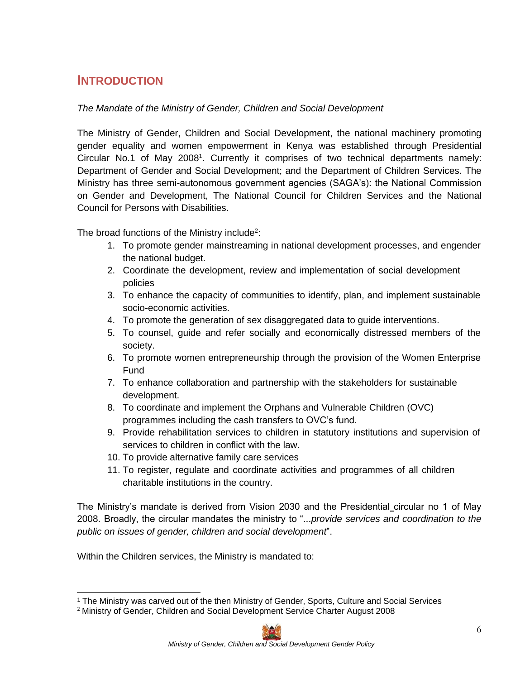## <span id="page-5-0"></span>**INTRODUCTION**

#### *The Mandate of the Ministry of Gender, Children and Social Development*

The Ministry of Gender, Children and Social Development, the national machinery promoting gender equality and women empowerment in Kenya was established through Presidential Circular No.[1](#page-5-0) of May 2008<sup>1</sup>. Currently it comprises of two technical departments namely: Department of Gender and Social Development; and the Department of Children Services. The Ministry has three semi-autonomous government agencies (SAGA's): the National Commission on Gender and Development, The National Council for Children Services and the National Council for Persons with Disabilities.

The broad functions of the Ministry include<sup>[2](#page-5-0)</sup>:

- 1. To promote gender mainstreaming in national development processes, and engender the national budget.
- 2. Coordinate the development, review and implementation of social development policies
- 3. To enhance the capacity of communities to identify, plan, and implement sustainable socio-economic activities.
- 4. To promote the generation of sex disaggregated data to guide interventions.
- 5. To counsel, guide and refer socially and economically distressed members of the society.
- 6. To promote women entrepreneurship through the provision of the Women Enterprise Fund
- 7. To enhance collaboration and partnership with the stakeholders for sustainable development.
- 8. To coordinate and implement the Orphans and Vulnerable Children (OVC) programmes including the cash transfers to OVC's fund.
- 9. Provide rehabilitation services to children in statutory institutions and supervision of services to children in conflict with the law.
- 10. To provide alternative family care services
- 11. To register, regulate and coordinate activities and programmes of all children charitable institutions in the country.

The Ministry's mandate is derived from Vision 2030 and the Presidential circular no 1 of May 2008. Broadly, the circular mandates the ministry to "...*provide services and coordination to the public on issues of gender, children and social development*".

Within the Children services, the Ministry is mandated to:

 $2$  Ministry of Gender, Children and Social Development Service Charter August 2008



<sup>1</sup> The Ministry was carved out of the then Ministry of Gender, Sports, Culture and Social Services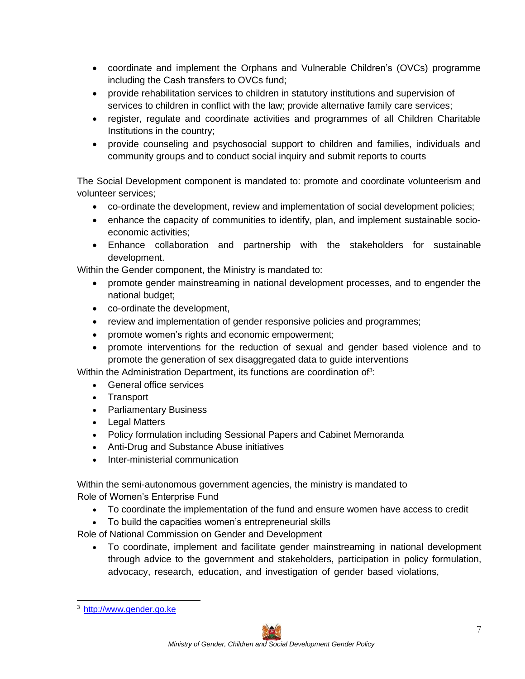- <span id="page-6-0"></span>• coordinate and implement the Orphans and Vulnerable Children's (OVCs) programme including the Cash transfers to OVCs fund;
- provide rehabilitation services to children in statutory institutions and supervision of services to children in conflict with the law; provide alternative family care services;
- register, regulate and coordinate activities and programmes of all Children Charitable Institutions in the country;
- provide counseling and psychosocial support to children and families, individuals and community groups and to conduct social inquiry and submit reports to courts

The Social Development component is mandated to: promote and coordinate volunteerism and volunteer services;

- co-ordinate the development, review and implementation of social development policies;
- enhance the capacity of communities to identify, plan, and implement sustainable socioeconomic activities;
- Enhance collaboration and partnership with the stakeholders for sustainable development.

Within the Gender component, the Ministry is mandated to:

- promote gender mainstreaming in national development processes, and to engender the national budget;
- co-ordinate the development,
- review and implementation of gender responsive policies and programmes;
- promote women's rights and economic empowerment;
- promote interventions for the reduction of sexual and gender based violence and to promote the generation of sex disaggregated data to guide interventions

Within the Administration Department, its [f](#page-6-0)unctions are coordination of<sup>3</sup>:

- General office services
- Transport
- Parliamentary Business
- Legal Matters
- Policy formulation including Sessional Papers and Cabinet Memoranda
- Anti-Drug and Substance Abuse initiatives
- Inter-ministerial communication

Within the semi-autonomous government agencies, the ministry is mandated to Role of Women's Enterprise Fund

- To coordinate the implementation of the fund and ensure women have access to credit
- To build the capacities women's entrepreneurial skills

Role of National Commission on Gender and Development

• To coordinate, implement and facilitate gender mainstreaming in national development through advice to the government and stakeholders, participation in policy formulation, advocacy, research, education, and investigation of gender based violations,

<sup>3</sup> [http://www.gender.go.ke](http://www.gender.go.ke/)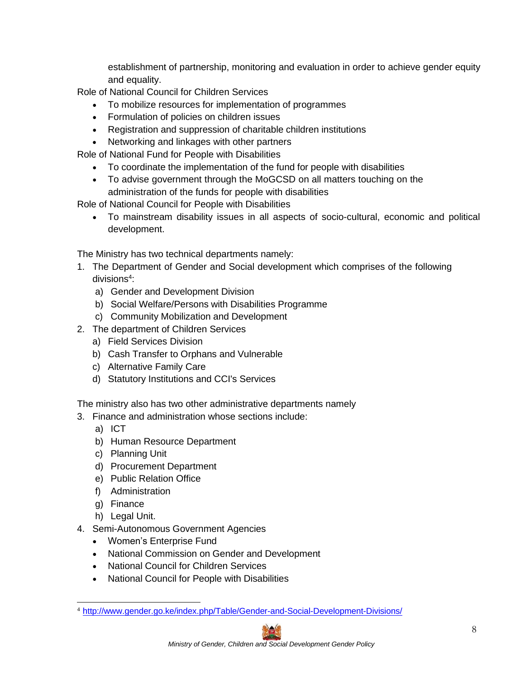establishment of partnership, monitoring and evaluation in order to achieve gender equity and equality.

<span id="page-7-0"></span>Role of National Council for Children Services

- To mobilize resources for implementation of programmes
- Formulation of policies on children issues
- Registration and suppression of charitable children institutions
- Networking and linkages with other partners

Role of National Fund for People with Disabilities

- To coordinate the implementation of the fund for people with disabilities
- To advise government through the MoGCSD on all matters touching on the administration of the funds for people with disabilities

Role of National Council for People with Disabilities

• To mainstream disability issues in all aspects of socio-cultural, economic and political development.

The Ministry has two technical departments namely:

- 1. The Department of Gender and Social development which comprises of the following divisions<sup>[4](#page-7-0)</sup>:
	- a) Gender and Development Division
	- b) Social Welfare/Persons with Disabilities Programme
	- c) Community Mobilization and Development
- 2. The department of Children Services
	- a) Field Services Division
	- b) Cash Transfer to Orphans and Vulnerable
	- c) Alternative Family Care
	- d) Statutory Institutions and CCI's Services

The ministry also has two other administrative departments namely

- 3. Finance and administration whose sections include:
	- a) ICT
	- b) Human Resource Department
	- c) Planning Unit
	- d) Procurement Department
	- e) Public Relation Office
	- f) Administration
	- g) Finance
	- h) Legal Unit.
- 4. Semi-Autonomous Government Agencies
	- Women's Enterprise Fund
	- National Commission on Gender and Development
	- National Council for Children Services
	- National Council for People with Disabilities

<sup>4</sup> <http://www.gender.go.ke/index.php/Table/Gender-and-Social-Development-Divisions/>

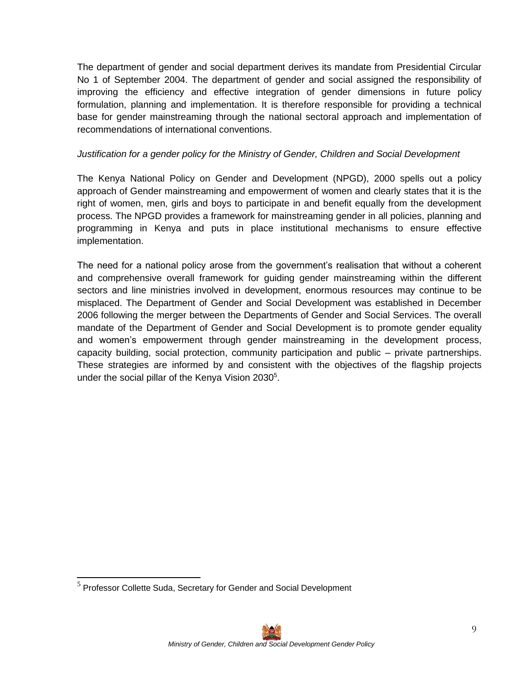<span id="page-8-0"></span>The department of gender and social department derives its mandate from Presidential Circular No 1 of September 2004. The department of gender and social assigned the responsibility of improving the efficiency and effective integration of gender dimensions in future policy formulation, planning and implementation. It is therefore responsible for providing a technical base for gender mainstreaming through the national sectoral approach and implementation of recommendations of international conventions.

#### *Justification for a gender policy for the Ministry of Gender, Children and Social Development*

The Kenya National Policy on Gender and Development (NPGD), 2000 spells out a policy approach of Gender mainstreaming and empowerment of women and clearly states that it is the right of women, men, girls and boys to participate in and benefit equally from the development process. The NPGD provides a framework for mainstreaming gender in all policies, planning and programming in Kenya and puts in place institutional mechanisms to ensure effective implementation.

The need for a national policy arose from the government's realisation that without a coherent and comprehensive overall framework for guiding gender mainstreaming within the different sectors and line ministries involved in development, enormous resources may continue to be misplaced. The Department of Gender and Social Development was established in December 2006 following the merger between the Departments of Gender and Social Services. The overall mandate of the Department of Gender and Social Development is to promote gender equality and women's empowerment through gender mainstreaming in the development process, capacity building, social protection, community participation and public – private partnerships. These strategies are informed by and consistent with the objectives of the flagship projects under the social pillar of the Kenya Vision 2[0](#page-8-0)30<sup>5</sup>.

 $<sup>5</sup>$  Professor Collette Suda, Secretary for Gender and Social Development</sup>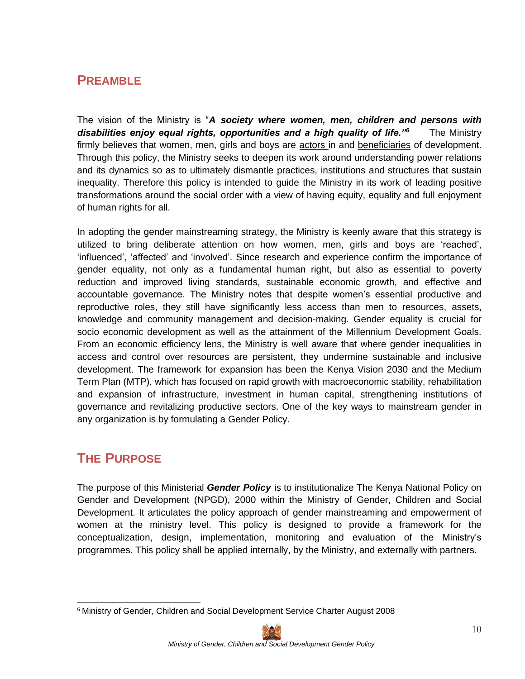## <span id="page-9-0"></span>**PREAMBLE**

The vision of the Ministry is "*A society where women, men, children and persons with disabilities enjoy equal rights, opportunities and a high quality of life."<sup>6</sup>* The Ministry firmly believes that women, men, girls and boys are actors in and beneficiaries of development. Through this policy, the Ministry seeks to deepen its work around understanding power relations and its dynamics so as to ultimately dismantle practices, institutions and structures that sustain inequality. Therefore this policy is intended to guide the Ministry in its work of leading positive transformations around the social order with a view of having equity, equality and full enjoyment of human rights for all.

In adopting the gender mainstreaming strategy, the Ministry is keenly aware that this strategy is utilized to bring deliberate attention on how women, men, girls and boys are 'reached', 'influenced', 'affected' and 'involved'. Since research and experience confirm the importance of gender equality, not only as a fundamental human right, but also as essential to poverty reduction and improved living standards, sustainable economic growth, and effective and accountable governance. The Ministry notes that despite women's essential productive and reproductive roles, they still have significantly less access than men to resources, assets, knowledge and community management and decision-making. Gender equality is crucial for socio economic development as well as the attainment of the Millennium Development Goals. From an economic efficiency lens, the Ministry is well aware that where gender inequalities in access and control over resources are persistent, they undermine sustainable and inclusive development. The framework for expansion has been the Kenya Vision 2030 and the Medium Term Plan (MTP), which has focused on rapid growth with macroeconomic stability, rehabilitation and expansion of infrastructure, investment in human capital, strengthening institutions of governance and revitalizing productive sectors. One of the key ways to mainstream gender in any organization is by formulating a Gender Policy.

## **THE PURPOSE**

The purpose of this Ministerial *Gender Policy* is to institutionalize The Kenya National Policy on Gender and Development (NPGD), 2000 within the Ministry of Gender, Children and Social Development. It articulates the policy approach of gender mainstreaming and empowerment of women at the ministry level. This policy is designed to provide a framework for the conceptualization, design, implementation, monitoring and evaluation of the Ministry's programmes. This policy shall be applied internally, by the Ministry, and externally with partners.

<sup>6</sup> Ministry of Gender, Children and Social Development Service Charter August 2008

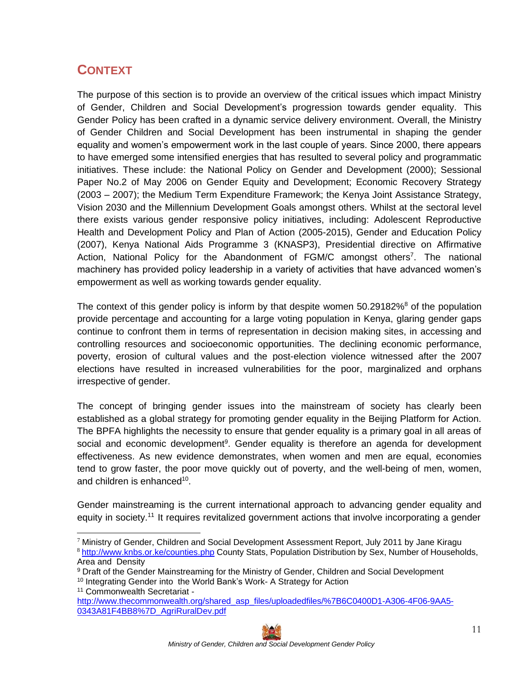# <span id="page-10-0"></span>**CONTEXT**

The purpose of this section is to provide an overview of the critical issues which impact Ministry of Gender, Children and Social Development's progression towards gender equality. This Gender Policy has been crafted in a dynamic service delivery environment. Overall, the Ministry of Gender Children and Social Development has been instrumental in shaping the gender equality and women's empowerment work in the last couple of years. Since 2000, there appears to have emerged some intensified energies that has resulted to several policy and programmatic initiatives. These include: the National Policy on Gender and Development (2000); Sessional Paper No.2 of May 2006 on Gender Equity and Development; Economic Recovery Strategy (2003 – 2007); the Medium Term Expenditure Framework; the Kenya Joint Assistance Strategy, Vision 2030 and the Millennium Development Goals amongst others. Whilst at the sectoral level there exists various gender responsive policy initiatives, including: Adolescent Reproductive Health and Development Policy and Plan of Action (2005-2015), Gender and Education Policy (2007), Kenya National Aids Programme 3 (KNASP3), Presidential directive on Affirmative Action, National Policy for the Abandonment of FGM/C among[s](#page-10-0)t others<sup>7</sup>. The national machinery has provided policy leadership in a variety of activities that have advanced women's empowerment as well as working towards gender equality.

The context of this gender policy is inform by that despite women  $50.29182\%$  $50.29182\%$ <sup>8</sup> of the population provide percentage and accounting for a large voting population in Kenya, glaring gender gaps continue to confront them in terms of representation in decision making sites, in accessing and controlling resources and socioeconomic opportunities. The declining economic performance, poverty, erosion of cultural values and the post-election violence witnessed after the 2007 elections have resulted in increased vulnerabilities for the poor, marginalized and orphans irrespective of gender.

The concept of bringing gender issues into the mainstream of society has clearly been established as a global strategy for promoting gender equality in the Beijing Platform for Action. The BPFA highlights the necessity to ensure that gender equality is a primary goal in all areas of social and economic development<sup>[9](#page-10-0)</sup>. Gender equality is therefore an agenda for development effectiveness. As new evidence demonstrates, when women and men are equal, economies tend to grow faster, the poor move quickly out of poverty, and the well-being of men, women, and children is enhanced<sup>[10](#page-10-0)</sup>.

Gender mainstreaming is the current international approach to advancing gender equality and equity in society.<sup>[11](#page-10-0)</sup> It requires revitalized government actions that involve incorporating a gender

<sup>11</sup> Commonwealth Secretariat -

 $7$  Ministry of Gender, Children and Social Development Assessment Report, July 2011 by Jane Kiragu <sup>8</sup> <http://www.knbs.or.ke/counties.php> County Stats, Population Distribution by Sex, Number of Households, Area and Density

<sup>9</sup> Draft of the Gender Mainstreaming for the Ministry of Gender, Children and Social Development

<sup>&</sup>lt;sup>10</sup> Integrating Gender into the World Bank's Work- A Strategy for Action

[http://www.thecommonwealth.org/shared\\_asp\\_files/uploadedfiles/%7B6C0400D1-A306-4F06-9AA5-](http://www.thecommonwealth.org/shared_asp_files/uploadedfiles/%7B6C0400D1-A306-4F06-9AA5-0343A81F4BB8%7D_AgriRuralDev.pdf) [0343A81F4BB8%7D\\_AgriRuralDev.pdf](http://www.thecommonwealth.org/shared_asp_files/uploadedfiles/%7B6C0400D1-A306-4F06-9AA5-0343A81F4BB8%7D_AgriRuralDev.pdf)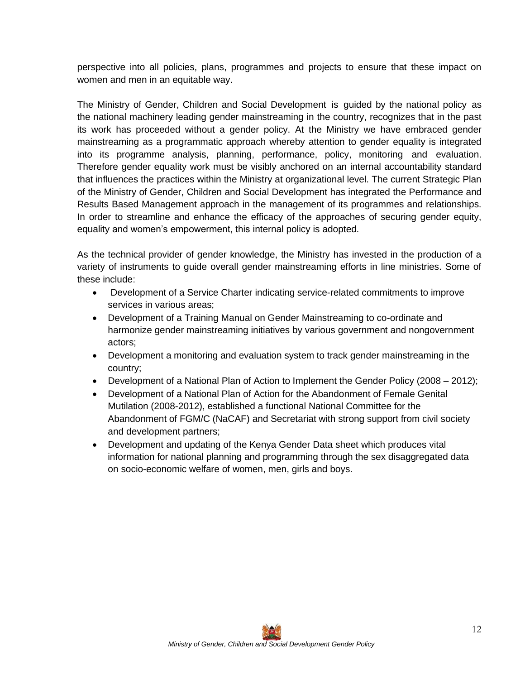perspective into all policies, plans, programmes and projects to ensure that these impact on women and men in an equitable way.

The Ministry of Gender, Children and Social Development is guided by the national policy as the national machinery leading gender mainstreaming in the country, recognizes that in the past its work has proceeded without a gender policy. At the Ministry we have embraced gender mainstreaming as a programmatic approach whereby attention to gender equality is integrated into its programme analysis, planning, performance, policy, monitoring and evaluation. Therefore gender equality work must be visibly anchored on an internal accountability standard that influences the practices within the Ministry at organizational level. The current Strategic Plan of the Ministry of Gender, Children and Social Development has integrated the Performance and Results Based Management approach in the management of its programmes and relationships. In order to streamline and enhance the efficacy of the approaches of securing gender equity, equality and women's empowerment, this internal policy is adopted.

As the technical provider of gender knowledge, the Ministry has invested in the production of a variety of instruments to guide overall gender mainstreaming efforts in line ministries. Some of these include:

- Development of a Service Charter indicating service-related commitments to improve services in various areas;
- Development of a Training Manual on Gender Mainstreaming to co-ordinate and harmonize gender mainstreaming initiatives by various government and nongovernment actors;
- Development a monitoring and evaluation system to track gender mainstreaming in the country;
- Development of a National Plan of Action to Implement the Gender Policy (2008 2012);
- Development of a National Plan of Action for the Abandonment of Female Genital Mutilation (2008-2012), established a functional National Committee for the Abandonment of FGM/C (NaCAF) and Secretariat with strong support from civil society and development partners;
- Development and updating of the Kenya Gender Data sheet which produces vital information for national planning and programming through the sex disaggregated data on socio-economic welfare of women, men, girls and boys.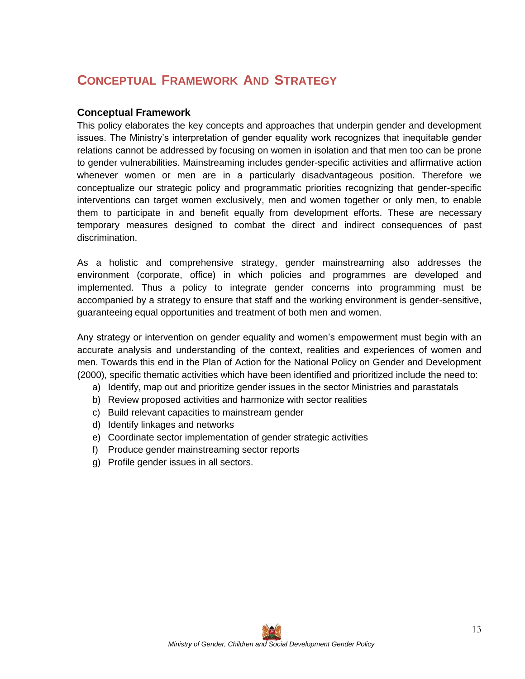# <span id="page-12-0"></span>**CONCEPTUAL FRAMEWORK AND STRATEGY**

#### **Conceptual Framework**

This policy elaborates the key concepts and approaches that underpin gender and development issues. The Ministry's interpretation of gender equality work recognizes that inequitable gender relations cannot be addressed by focusing on women in isolation and that men too can be prone to gender vulnerabilities. Mainstreaming includes gender-specific activities and affirmative action whenever women or men are in a particularly disadvantageous position. Therefore we conceptualize our strategic policy and programmatic priorities recognizing that gender-specific interventions can target women exclusively, men and women together or only men, to enable them to participate in and benefit equally from development efforts. These are necessary temporary measures designed to combat the direct and indirect consequences of past discrimination.

As a holistic and comprehensive strategy, gender mainstreaming also addresses the environment (corporate, office) in which policies and programmes are developed and implemented. Thus a policy to integrate gender concerns into programming must be accompanied by a strategy to ensure that staff and the working environment is gender-sensitive, guaranteeing equal opportunities and treatment of both men and women.

Any strategy or intervention on gender equality and women's empowerment must begin with an accurate analysis and understanding of the context, realities and experiences of women and men. Towards this end in the Plan of Action for the National Policy on Gender and Development (2000), specific thematic activities which have been identified and prioritized include the need to:

- a) Identify, map out and prioritize gender issues in the sector Ministries and parastatals
- b) Review proposed activities and harmonize with sector realities
- c) Build relevant capacities to mainstream gender
- d) Identify linkages and networks
- e) Coordinate sector implementation of gender strategic activities
- f) Produce gender mainstreaming sector reports
- g) Profile gender issues in all sectors.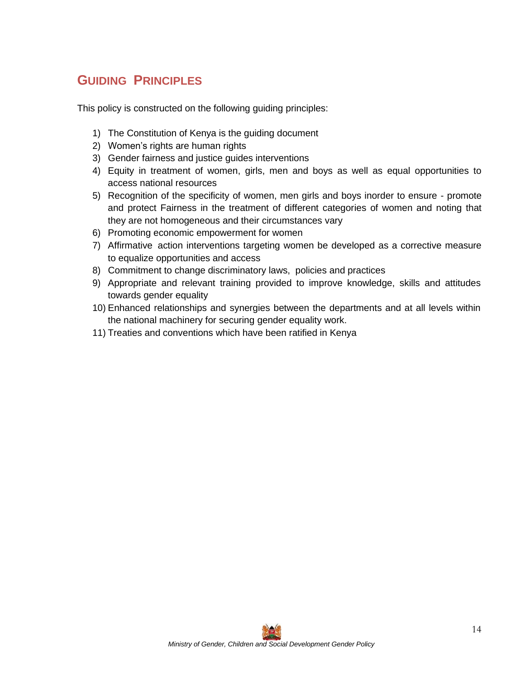# <span id="page-13-0"></span>**GUIDING PRINCIPLES**

This policy is constructed on the following guiding principles:

- 1) The Constitution of Kenya is the guiding document
- 2) Women's rights are human rights
- 3) Gender fairness and justice guides interventions
- 4) Equity in treatment of women, girls, men and boys as well as equal opportunities to access national resources
- 5) Recognition of the specificity of women, men girls and boys inorder to ensure promote and protect Fairness in the treatment of different categories of women and noting that they are not homogeneous and their circumstances vary
- 6) Promoting economic empowerment for women
- 7) Affirmative action interventions targeting women be developed as a corrective measure to equalize opportunities and access
- 8) Commitment to change discriminatory laws, policies and practices
- 9) Appropriate and relevant training provided to improve knowledge, skills and attitudes towards gender equality
- 10) Enhanced relationships and synergies between the departments and at all levels within the national machinery for securing gender equality work.
- 11) Treaties and conventions which have been ratified in Kenya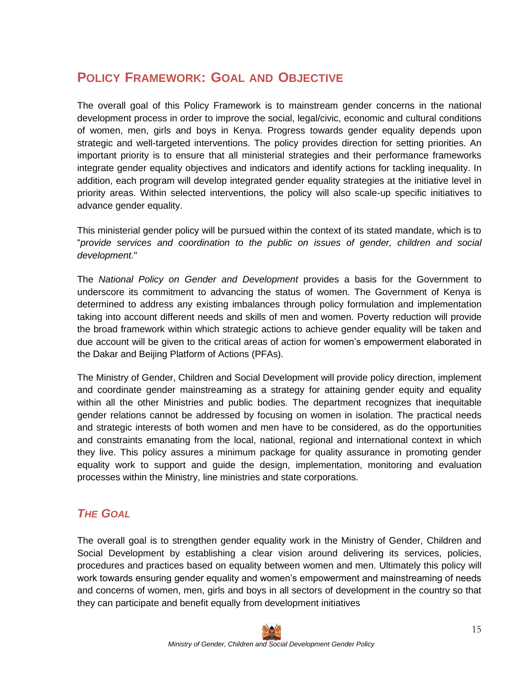## <span id="page-14-0"></span>**POLICY FRAMEWORK: GOAL AND OBJECTIVE**

The overall goal of this Policy Framework is to mainstream gender concerns in the national development process in order to improve the social, legal/civic, economic and cultural conditions of women, men, girls and boys in Kenya. Progress towards gender equality depends upon strategic and well-targeted interventions. The policy provides direction for setting priorities. An important priority is to ensure that all ministerial strategies and their performance frameworks integrate gender equality objectives and indicators and identify actions for tackling inequality. In addition, each program will develop integrated gender equality strategies at the initiative level in priority areas. Within selected interventions, the policy will also scale-up specific initiatives to advance gender equality.

This ministerial gender policy will be pursued within the context of its stated mandate, which is to "*provide services and coordination to the public on issues of gender, children and social development.*"

The *National Policy on Gender and Development* provides a basis for the Government to underscore its commitment to advancing the status of women. The Government of Kenya is determined to address any existing imbalances through policy formulation and implementation taking into account different needs and skills of men and women. Poverty reduction will provide the broad framework within which strategic actions to achieve gender equality will be taken and due account will be given to the critical areas of action for women's empowerment elaborated in the Dakar and Beijing Platform of Actions (PFAs).

The Ministry of Gender, Children and Social Development will provide policy direction, implement and coordinate gender mainstreaming as a strategy for attaining gender equity and equality within all the other Ministries and public bodies. The department recognizes that inequitable gender relations cannot be addressed by focusing on women in isolation. The practical needs and strategic interests of both women and men have to be considered, as do the opportunities and constraints emanating from the local, national, regional and international context in which they live. This policy assures a minimum package for quality assurance in promoting gender equality work to support and guide the design, implementation, monitoring and evaluation processes within the Ministry, line ministries and state corporations.

## *THE GOAL*

The overall goal is to strengthen gender equality work in the Ministry of Gender, Children and Social Development by establishing a clear vision around delivering its services, policies, procedures and practices based on equality between women and men. Ultimately this policy will work towards ensuring gender equality and women's empowerment and mainstreaming of needs and concerns of women, men, girls and boys in all sectors of development in the country so that they can participate and benefit equally from development initiatives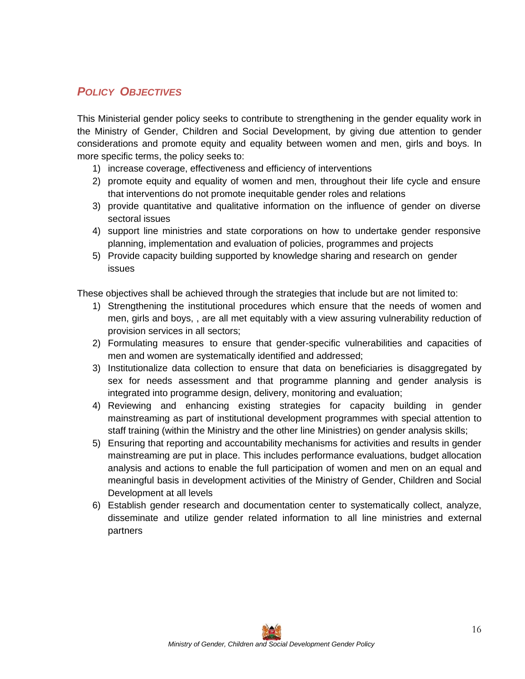## <span id="page-15-0"></span>*POLICY OBJECTIVES*

This Ministerial gender policy seeks to contribute to strengthening in the gender equality work in the Ministry of Gender, Children and Social Development, by giving due attention to gender considerations and promote equity and equality between women and men, girls and boys. In more specific terms, the policy seeks to:

- 1) increase coverage, effectiveness and efficiency of interventions
- 2) promote equity and equality of women and men, throughout their life cycle and ensure that interventions do not promote inequitable gender roles and relations
- 3) provide quantitative and qualitative information on the influence of gender on diverse sectoral issues
- 4) support line ministries and state corporations on how to undertake gender responsive planning, implementation and evaluation of policies, programmes and projects
- 5) Provide capacity building supported by knowledge sharing and research on gender issues

These objectives shall be achieved through the strategies that include but are not limited to:

- 1) Strengthening the institutional procedures which ensure that the needs of women and men, girls and boys, , are all met equitably with a view assuring vulnerability reduction of provision services in all sectors;
- 2) Formulating measures to ensure that gender-specific vulnerabilities and capacities of men and women are systematically identified and addressed;
- 3) Institutionalize data collection to ensure that data on beneficiaries is disaggregated by sex for needs assessment and that programme planning and gender analysis is integrated into programme design, delivery, monitoring and evaluation;
- 4) Reviewing and enhancing existing strategies for capacity building in gender mainstreaming as part of institutional development programmes with special attention to staff training (within the Ministry and the other line Ministries) on gender analysis skills;
- 5) Ensuring that reporting and accountability mechanisms for activities and results in gender mainstreaming are put in place. This includes performance evaluations, budget allocation analysis and actions to enable the full participation of women and men on an equal and meaningful basis in development activities of the Ministry of Gender, Children and Social Development at all levels
- 6) Establish gender research and documentation center to systematically collect, analyze, disseminate and utilize gender related information to all line ministries and external partners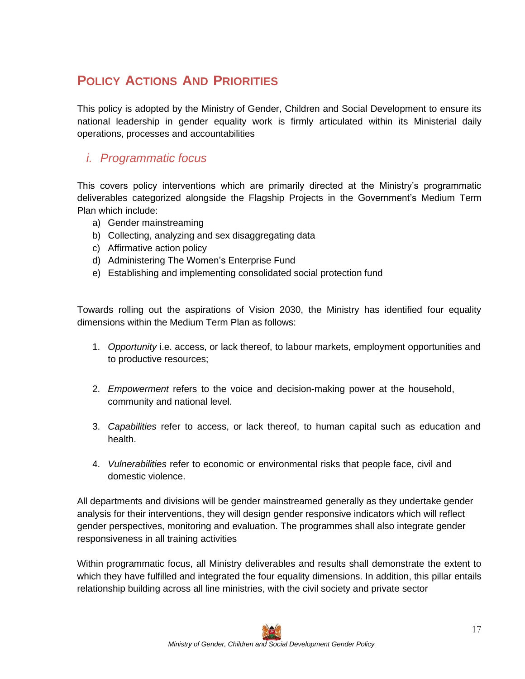# <span id="page-16-0"></span>**POLICY ACTIONS AND PRIORITIES**

This policy is adopted by the Ministry of Gender, Children and Social Development to ensure its national leadership in gender equality work is firmly articulated within its Ministerial daily operations, processes and accountabilities

#### *i. Programmatic focus*

This covers policy interventions which are primarily directed at the Ministry's programmatic deliverables categorized alongside the Flagship Projects in the Government's Medium Term Plan which include:

- a) Gender mainstreaming
- b) Collecting, analyzing and sex disaggregating data
- c) Affirmative action policy
- d) Administering The Women's Enterprise Fund
- e) Establishing and implementing consolidated social protection fund

Towards rolling out the aspirations of Vision 2030, the Ministry has identified four equality dimensions within the Medium Term Plan as follows:

- 1. *Opportunity* i.e. access, or lack thereof, to labour markets, employment opportunities and to productive resources;
- 2. *Empowerment* refers to the voice and decision-making power at the household, community and national level.
- 3. *Capabilities* refer to access, or lack thereof, to human capital such as education and health.
- 4. *Vulnerabilities* refer to economic or environmental risks that people face, civil and domestic violence.

All departments and divisions will be gender mainstreamed generally as they undertake gender analysis for their interventions, they will design gender responsive indicators which will reflect gender perspectives, monitoring and evaluation. The programmes shall also integrate gender responsiveness in all training activities

Within programmatic focus, all Ministry deliverables and results shall demonstrate the extent to which they have fulfilled and integrated the four equality dimensions. In addition, this pillar entails relationship building across all line ministries, with the civil society and private sector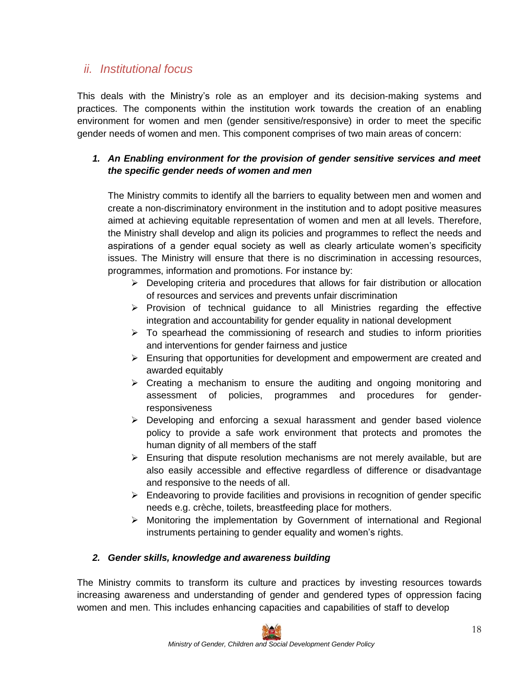## <span id="page-17-0"></span>*ii. Institutional focus*

This deals with the Ministry's role as an employer and its decision-making systems and practices. The components within the institution work towards the creation of an enabling environment for women and men (gender sensitive/responsive) in order to meet the specific gender needs of women and men. This component comprises of two main areas of concern:

#### *1. An Enabling environment for the provision of gender sensitive services and meet the specific gender needs of women and men*

The Ministry commits to identify all the barriers to equality between men and women and create a non-discriminatory environment in the institution and to adopt positive measures aimed at achieving equitable representation of women and men at all levels. Therefore, the Ministry shall develop and align its policies and programmes to reflect the needs and aspirations of a gender equal society as well as clearly articulate women's specificity issues. The Ministry will ensure that there is no discrimination in accessing resources, programmes, information and promotions. For instance by:

- ➢ Developing criteria and procedures that allows for fair distribution or allocation of resources and services and prevents unfair discrimination
- $\triangleright$  Provision of technical guidance to all Ministries regarding the effective integration and accountability for gender equality in national development
- $\triangleright$  To spearhead the commissioning of research and studies to inform priorities and interventions for gender fairness and justice
- $\triangleright$  Ensuring that opportunities for development and empowerment are created and awarded equitably
- $\triangleright$  Creating a mechanism to ensure the auditing and ongoing monitoring and assessment of policies, programmes and procedures for genderresponsiveness
- ➢ Developing and enforcing a sexual harassment and gender based violence policy to provide a safe work environment that protects and promotes the human dignity of all members of the staff
- $\triangleright$  Ensuring that dispute resolution mechanisms are not merely available, but are also easily accessible and effective regardless of difference or disadvantage and responsive to the needs of all.
- ➢ Endeavoring to provide facilities and provisions in recognition of gender specific needs e.g. crèche, toilets, breastfeeding place for mothers.
- ➢ Monitoring the implementation by Government of international and Regional instruments pertaining to gender equality and women's rights.

#### *2. Gender skills, knowledge and awareness building*

The Ministry commits to transform its culture and practices by investing resources towards increasing awareness and understanding of gender and gendered types of oppression facing women and men. This includes enhancing capacities and capabilities of staff to develop

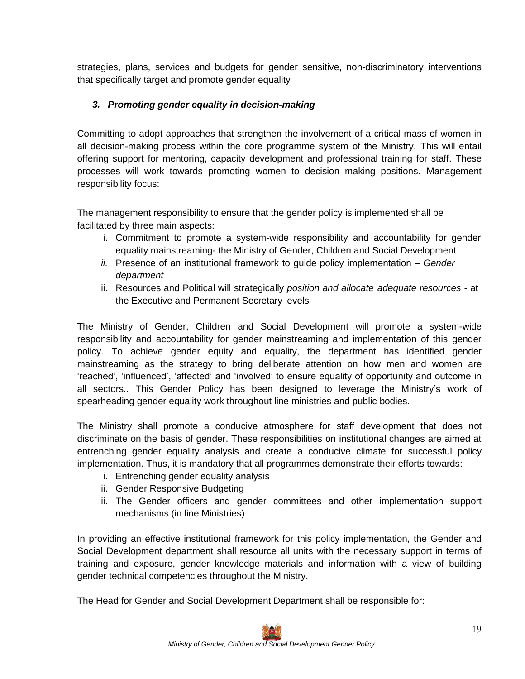strategies, plans, services and budgets for gender sensitive, non-discriminatory interventions that specifically target and promote gender equality

#### *3. Promoting gender equality in decision-making*

Committing to adopt approaches that strengthen the involvement of a critical mass of women in all decision-making process within the core programme system of the Ministry. This will entail offering support for mentoring, capacity development and professional training for staff. These processes will work towards promoting women to decision making positions. Management responsibility focus:

The management responsibility to ensure that the gender policy is implemented shall be facilitated by three main aspects:

- i. Commitment to promote a system-wide responsibility and accountability for gender equality mainstreaming- the Ministry of Gender, Children and Social Development
- *ii.* Presence of an institutional framework to guide policy implementation *Gender department*
- iii. Resources and Political will strategically *position and allocate adequate resources -* at the Executive and Permanent Secretary levels

The Ministry of Gender, Children and Social Development will promote a system-wide responsibility and accountability for gender mainstreaming and implementation of this gender policy. To achieve gender equity and equality, the department has identified gender mainstreaming as the strategy to bring deliberate attention on how men and women are 'reached', 'influenced', 'affected' and 'involved' to ensure equality of opportunity and outcome in all sectors.. This Gender Policy has been designed to leverage the Ministry's work of spearheading gender equality work throughout line ministries and public bodies.

The Ministry shall promote a conducive atmosphere for staff development that does not discriminate on the basis of gender. These responsibilities on institutional changes are aimed at entrenching gender equality analysis and create a conducive climate for successful policy implementation. Thus, it is mandatory that all programmes demonstrate their efforts towards:

- i. Entrenching gender equality analysis
- ii. Gender Responsive Budgeting
- iii. The Gender officers and gender committees and other implementation support mechanisms (in line Ministries)

In providing an effective institutional framework for this policy implementation, the Gender and Social Development department shall resource all units with the necessary support in terms of training and exposure, gender knowledge materials and information with a view of building gender technical competencies throughout the Ministry.

The Head for Gender and Social Development Department shall be responsible for: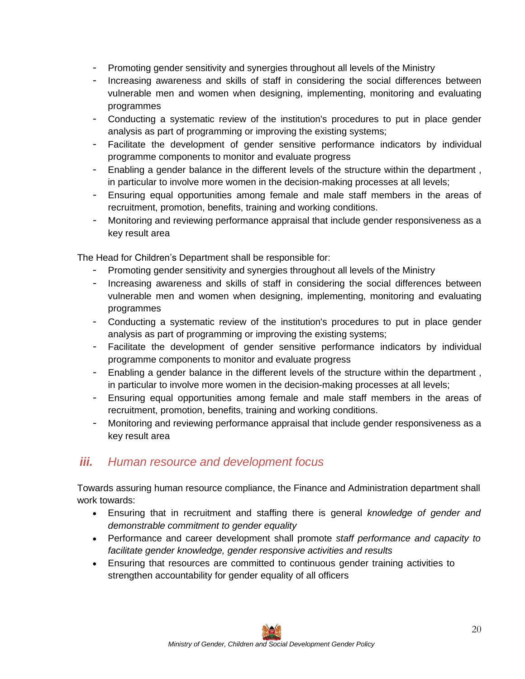- <span id="page-19-0"></span>- Promoting gender sensitivity and synergies throughout all levels of the Ministry
- Increasing awareness and skills of staff in considering the social differences between vulnerable men and women when designing, implementing, monitoring and evaluating programmes
- Conducting a systematic review of the institution's procedures to put in place gender analysis as part of programming or improving the existing systems;
- Facilitate the development of gender sensitive performance indicators by individual programme components to monitor and evaluate progress
- Enabling a gender balance in the different levels of the structure within the department, in particular to involve more women in the decision-making processes at all levels;
- Ensuring equal opportunities among female and male staff members in the areas of recruitment, promotion, benefits, training and working conditions.
- Monitoring and reviewing performance appraisal that include gender responsiveness as a key result area

The Head for Children's Department shall be responsible for:

- Promoting gender sensitivity and synergies throughout all levels of the Ministry
- Increasing awareness and skills of staff in considering the social differences between vulnerable men and women when designing, implementing, monitoring and evaluating programmes
- Conducting a systematic review of the institution's procedures to put in place gender analysis as part of programming or improving the existing systems;
- Facilitate the development of gender sensitive performance indicators by individual programme components to monitor and evaluate progress
- Enabling a gender balance in the different levels of the structure within the department , in particular to involve more women in the decision-making processes at all levels;
- Ensuring equal opportunities among female and male staff members in the areas of recruitment, promotion, benefits, training and working conditions.
- Monitoring and reviewing performance appraisal that include gender responsiveness as a key result area

## *iii. Human resource and development focus*

Towards assuring human resource compliance, the Finance and Administration department shall work towards:

- Ensuring that in recruitment and staffing there is general *knowledge of gender and demonstrable commitment to gender equality*
- Performance and career development shall promote *staff performance and capacity to facilitate gender knowledge, gender responsive activities and results*
- Ensuring that resources are committed to continuous gender training activities to strengthen accountability for gender equality of all officers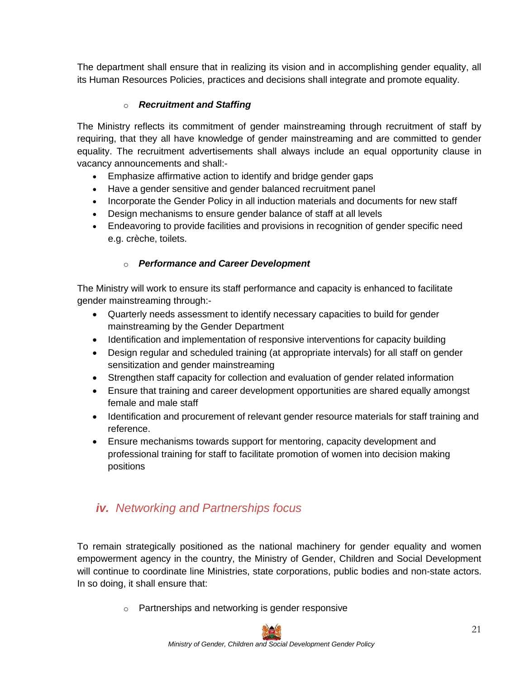<span id="page-20-0"></span>The department shall ensure that in realizing its vision and in accomplishing gender equality, all its Human Resources Policies, practices and decisions shall integrate and promote equality.

#### o *Recruitment and Staffing*

The Ministry reflects its commitment of gender mainstreaming through recruitment of staff by requiring, that they all have knowledge of gender mainstreaming and are committed to gender equality. The recruitment advertisements shall always include an equal opportunity clause in vacancy announcements and shall:-

- Emphasize affirmative action to identify and bridge gender gaps
- Have a gender sensitive and gender balanced recruitment panel
- Incorporate the Gender Policy in all induction materials and documents for new staff
- Design mechanisms to ensure gender balance of staff at all levels
- Endeavoring to provide facilities and provisions in recognition of gender specific need e.g. crèche, toilets.

#### o *Performance and Career Development*

The Ministry will work to ensure its staff performance and capacity is enhanced to facilitate gender mainstreaming through:-

- Quarterly needs assessment to identify necessary capacities to build for gender mainstreaming by the Gender Department
- Identification and implementation of responsive interventions for capacity building
- Design regular and scheduled training (at appropriate intervals) for all staff on gender sensitization and gender mainstreaming
- Strengthen staff capacity for collection and evaluation of gender related information
- Ensure that training and career development opportunities are shared equally amongst female and male staff
- Identification and procurement of relevant gender resource materials for staff training and reference.
- Ensure mechanisms towards support for mentoring, capacity development and professional training for staff to facilitate promotion of women into decision making positions

## *iv. Networking and Partnerships focus*

To remain strategically positioned as the national machinery for gender equality and women empowerment agency in the country, the Ministry of Gender, Children and Social Development will continue to coordinate line Ministries, state corporations, public bodies and non-state actors. In so doing, it shall ensure that:

o Partnerships and networking is gender responsive

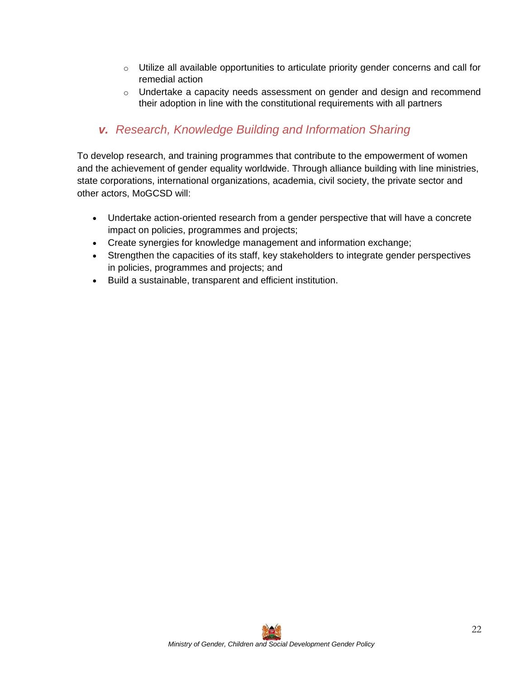- <span id="page-21-0"></span> $\circ$  Utilize all available opportunities to articulate priority gender concerns and call for remedial action
- $\circ$  Undertake a capacity needs assessment on gender and design and recommend their adoption in line with the constitutional requirements with all partners

## *v. Research, Knowledge Building and Information Sharing*

To develop research, and training programmes that contribute to the empowerment of women and the achievement of gender equality worldwide. Through alliance building with line ministries, state corporations, international organizations, academia, civil society, the private sector and other actors, MoGCSD will:

- Undertake action-oriented research from a gender perspective that will have a concrete impact on policies, programmes and projects;
- Create synergies for knowledge management and information exchange;
- Strengthen the capacities of its staff, key stakeholders to integrate gender perspectives in policies, programmes and projects; and
- Build a sustainable, transparent and efficient institution.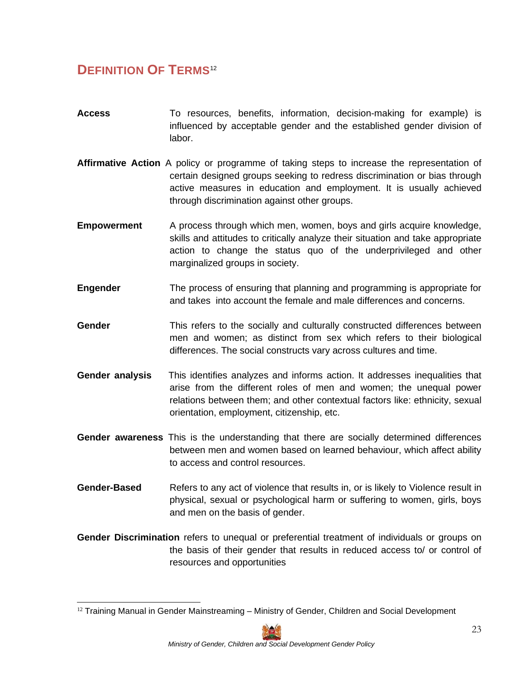## <span id="page-22-0"></span>**DEFINITION OF TERMS** [12](#page-22-0)

- Access To resources, benefits, information, decision-making for example) is influenced by acceptable gender and the established gender division of labor.
- **Affirmative Action** A policy or programme of taking steps to increase the representation of certain designed groups seeking to redress discrimination or bias through active measures in education and employment. It is usually achieved through discrimination against other groups.
- **Empowerment** A process through which men, women, boys and girls acquire knowledge, skills and attitudes to critically analyze their situation and take appropriate action to change the status quo of the underprivileged and other marginalized groups in society.
- **Engender** The process of ensuring that planning and programming is appropriate for and takes into account the female and male differences and concerns.
- **Gender** This refers to the socially and culturally constructed differences between men and women; as distinct from sex which refers to their biological differences. The social constructs vary across cultures and time.
- **Gender analysis** This identifies analyzes and informs action. It addresses inequalities that arise from the different roles of men and women; the unequal power relations between them; and other contextual factors like: ethnicity, sexual orientation, employment, citizenship, etc.
- **Gender awareness** This is the understanding that there are socially determined differences between men and women based on learned behaviour, which affect ability to access and control resources.
- **Gender-Based** Refers to any act of violence that results in, or is likely to Violence result in physical, sexual or psychological harm or suffering to women, girls, boys and men on the basis of gender.
- **Gender Discrimination** refers to unequal or preferential treatment of individuals or groups on the basis of their gender that results in reduced access to/ or control of resources and opportunities

 $12$  Training Manual in Gender Mainstreaming  $-$  Ministry of Gender, Children and Social Development

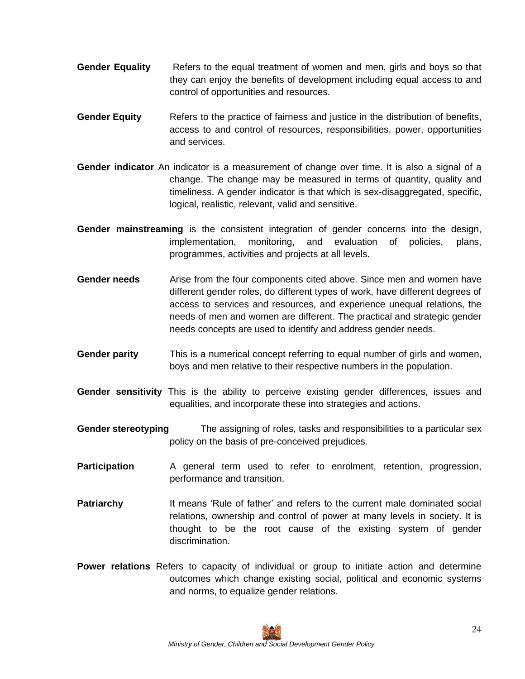- **Gender Equality** Refers to the equal treatment of women and men, girls and boys so that they can enjoy the benefits of development including equal access to and control of opportunities and resources.
- **Gender Equity** Refers to the practice of fairness and justice in the distribution of benefits, access to and control of resources, responsibilities, power, opportunities and services.
- **Gender indicator** An indicator is a measurement of change over time. It is also a signal of a change. The change may be measured in terms of quantity, quality and timeliness. A gender indicator is that which is sex-disaggregated, specific, logical, realistic, relevant, valid and sensitive.
- **Gender mainstreaming** is the consistent integration of gender concerns into the design, implementation, monitoring, and evaluation of policies, plans, programmes, activities and projects at all levels.
- **Gender needs** Arise from the four components cited above. Since men and women have different gender roles, do different types of work, have different degrees of access to services and resources, and experience unequal relations, the needs of men and women are different. The practical and strategic gender needs concepts are used to identify and address gender needs.
- **Gender parity** This is a numerical concept referring to equal number of girls and women, boys and men relative to their respective numbers in the population.
- **Gender sensitivity** This is the ability to perceive existing gender differences, issues and equalities, and incorporate these into strategies and actions.
- **Gender stereotyping** The assigning of roles, tasks and responsibilities to a particular sex policy on the basis of pre-conceived prejudices.
- **Participation** A general term used to refer to enrolment, retention, progression, performance and transition.
- **Patriarchy** It means 'Rule of father' and refers to the current male dominated social relations, ownership and control of power at many levels in society. It is thought to be the root cause of the existing system of gender discrimination.
- **Power relations** Refers to capacity of individual or group to initiate action and determine outcomes which change existing social, political and economic systems and norms, to equalize gender relations.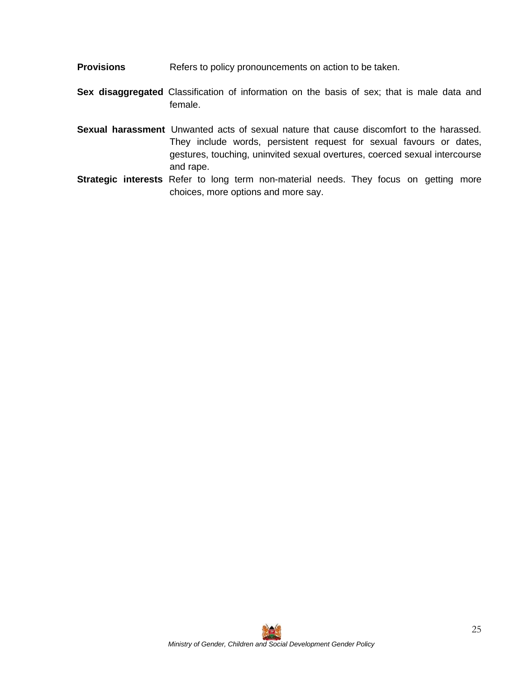**Provisions** Refers to policy pronouncements on action to be taken.

**Sex disaggregated** Classification of information on the basis of sex; that is male data and female.

- **Sexual harassment** Unwanted acts of sexual nature that cause discomfort to the harassed. They include words, persistent request for sexual favours or dates, gestures, touching, uninvited sexual overtures, coerced sexual intercourse and rape.
- **Strategic interests** Refer to long term non-material needs. They focus on getting more choices, more options and more say.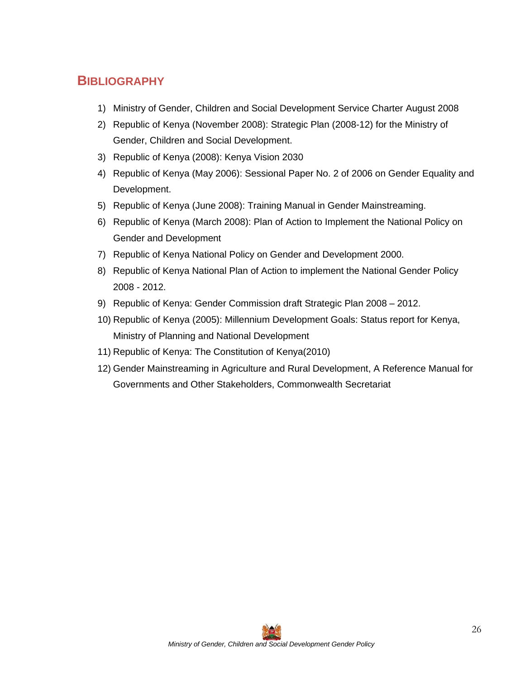## <span id="page-25-0"></span>**BIBLIOGRAPHY**

- 1) Ministry of Gender, Children and Social Development Service Charter August 2008
- 2) Republic of Kenya (November 2008): Strategic Plan (2008-12) for the Ministry of Gender, Children and Social Development.
- 3) Republic of Kenya (2008): Kenya Vision 2030
- 4) Republic of Kenya (May 2006): Sessional Paper No. 2 of 2006 on Gender Equality and Development.
- 5) Republic of Kenya (June 2008): Training Manual in Gender Mainstreaming.
- 6) Republic of Kenya (March 2008): Plan of Action to Implement the National Policy on Gender and Development
- 7) Republic of Kenya National Policy on Gender and Development 2000.
- 8) Republic of Kenya National Plan of Action to implement the National Gender Policy 2008 - 2012.
- 9) Republic of Kenya: Gender Commission draft Strategic Plan 2008 2012.
- 10) Republic of Kenya (2005): Millennium Development Goals: Status report for Kenya, Ministry of Planning and National Development
- 11) Republic of Kenya: The Constitution of Kenya(2010)
- 12) Gender Mainstreaming in Agriculture and Rural Development, A Reference Manual for Governments and Other Stakeholders, Commonwealth Secretariat